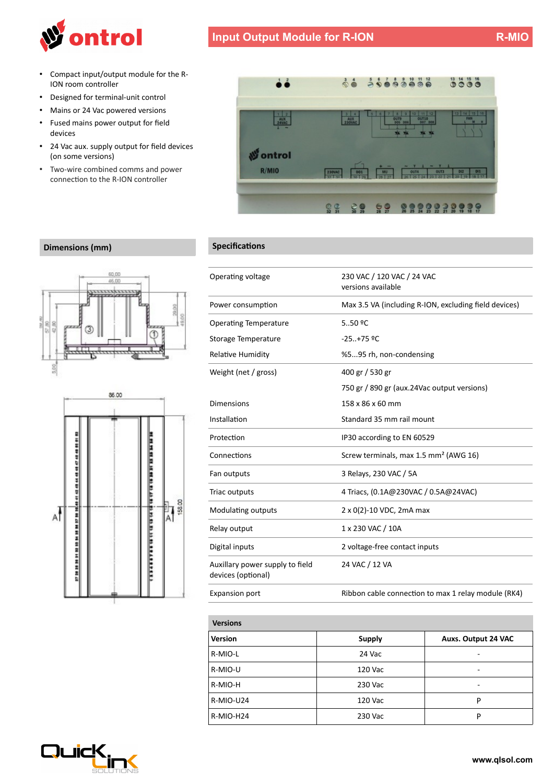

- Compact input/output module for the R-ION room controller
- Designed for terminal-unit control
- Mains or 24 Vac powered versions
- Fused mains power output for feld devices
- 24 Vac aux. supply output for feld devices (on some versions)
- Two-wire combined comms and power connection to the R-ION controller



| Operating voltage                                     | 230 VAC / 120 VAC / 24 VAC<br>versions available      |
|-------------------------------------------------------|-------------------------------------------------------|
| Power consumption                                     | Max 3.5 VA (including R-ION, excluding field devices) |
| <b>Operating Temperature</b>                          | $5.09$ <sup>o</sup> C                                 |
| Storage Temperature                                   | $-25.+75$ °C                                          |
| <b>Relative Humidity</b>                              | %595 rh, non-condensing                               |
| Weight (net / gross)                                  | 400 gr / 530 gr                                       |
|                                                       | 750 gr / 890 gr (aux.24Vac output versions)           |
| Dimensions                                            | 158 x 86 x 60 mm                                      |
| Installation                                          | Standard 35 mm rail mount                             |
| Protection                                            | IP30 according to EN 60529                            |
| Connections                                           | Screw terminals, max 1.5 mm <sup>2</sup> (AWG 16)     |
| Fan outputs                                           | 3 Relays, 230 VAC / 5A                                |
| Triac outputs                                         | 4 Triacs, (0.1A@230VAC / 0.5A@24VAC)                  |
| Modulating outputs                                    | 2 x 0(2)-10 VDC, 2mA max                              |
| Relay output                                          | 1 x 230 VAC / 10A                                     |
| Digital inputs                                        | 2 voltage-free contact inputs                         |
| Auxillary power supply to field<br>devices (optional) | 24 VAC / 12 VA                                        |
| <b>Expansion port</b>                                 | Ribbon cable connection to max 1 relay module (RK4)   |

| <b>Versions</b> |               |                            |
|-----------------|---------------|----------------------------|
| <b>Version</b>  | <b>Supply</b> | <b>Auxs. Output 24 VAC</b> |
| R-MIO-L         | 24 Vac        |                            |
| R-MIO-U         | 120 Vac       |                            |
| R-MIO-H         | 230 Vac       | -                          |
| R-MIO-U24       | 120 Vac       | P                          |
| R-MIO-H24       | 230 Vac       | P                          |

## **Dimensions (mm) Specifications**